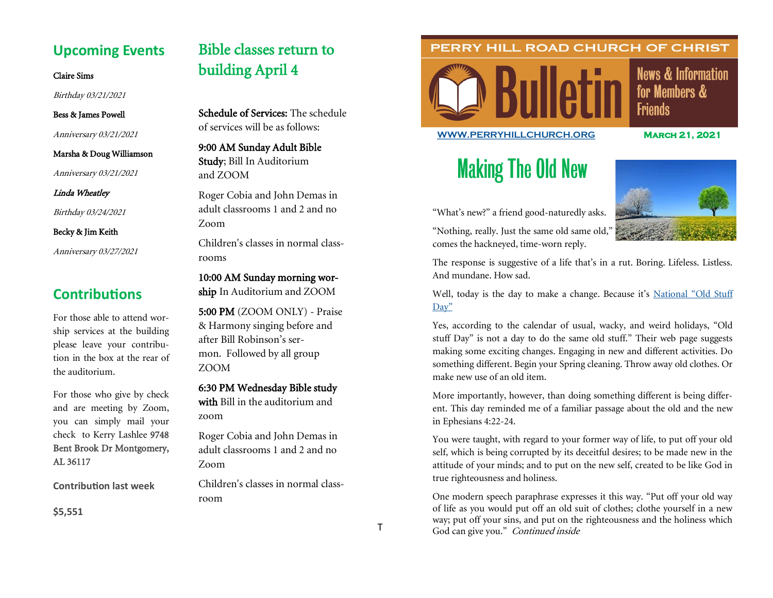# **Upcoming Events**

### Claire Sims

Birthday 03/21/2021

## Bess & James Powell

Anniversary 03/21/2021

#### Marsha & Doug Williamson

Anniversary 03/21/2021

Linda Wheatley

Birthday 03/24/2021

### Becky & Jim Keith

Anniversary 03/27/2021

# **Contributions**

For those able to attend worship services at the building please leave your contribution in the box at the rear of the auditorium.

For those who give by check and are meeting by Zoom, you can simply mail your check to Kerry Lashlee 9748 Bent Brook Dr Montgomery, AL 36117

**Contribution last week**

**\$5,551**

# Bible classes return to building April 4

Schedule of Services: The schedule of services will be as follows:

9:00 AM Sunday Adult Bible Study; Bill In Auditorium and ZOOM

Roger Cobia and John Demas in adult classrooms 1 and 2 and no Zoom

Children's classes in normal classrooms

10:00 AM Sunday morning wor-

ship In Auditorium and ZOOM

5:00 PM (ZOOM ONLY) - Praise & Harmony singing before and after Bill Robinson's sermon. Followed by all group ZOOM

# 6:30 PM Wednesday Bible study

with Bill in the auditorium and zoom

Roger Cobia and John Demas in adult classrooms 1 and 2 and no Zoom

Children's classes in normal classroom

# PERRY HILL ROAD CHURCH OF CHRIST



**News & Information** for Members & **Friends** 

## **[WWW.PERRYHILLCHURCH.ORG](http://www.perryhillchurch.org) March 21, 2021**

# Making The Old New



"What's new?" a friend good-naturedly asks. "Nothing, really. Just the same old same old," comes the hackneyed, time-worn reply.

The response is suggestive of a life that's in a rut. Boring. Lifeless. Listless. And mundane. How sad.

Well, today is the day to make a change. Because it's National "Old Stuff [Day"](https://nationaldaycalendar.com/national-old-day-stuff-march-2/)

Yes, according to the calendar of usual, wacky, and weird holidays, "Old stuff Day" is not a day to do the same old stuff." Their web page suggests making some exciting changes. Engaging in new and different activities. Do something different. Begin your Spring cleaning. Throw away old clothes. Or make new use of an old item.

More importantly, however, than doing something different is being different. This day reminded me of a familiar passage about the old and the new in Ephesians 4:22-24.

You were taught, with regard to your former way of life, to put off your old self, which is being corrupted by its deceitful desires; to be made new in the attitude of your minds; and to put on the new self, created to be like God in true righteousness and holiness.

One modern speech paraphrase expresses it this way. "Put off your old way of life as you would put off an old suit of clothes; clothe yourself in a new way; put off your sins, and put on the righteousness and the holiness which God can give you." Continued inside